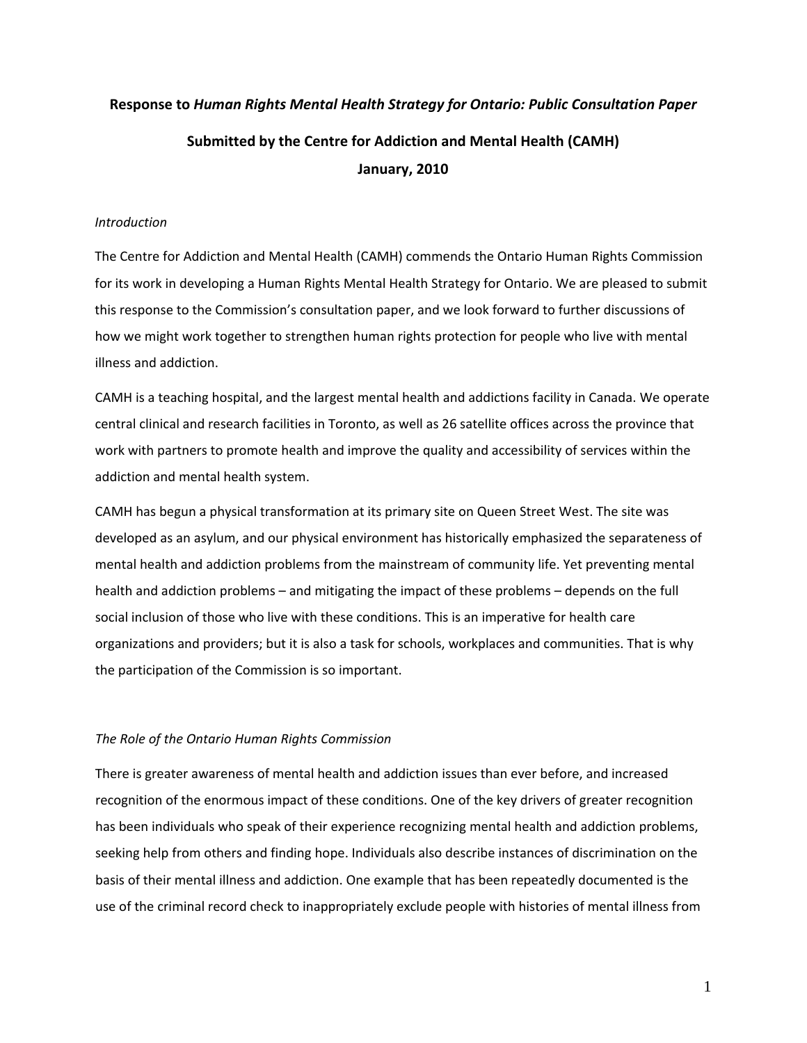# **Response to** *Human Rights Mental Health Strategy for Ontario: Public Consultation Paper* **Submitted by the Centre for Addiction and Mental Health (CAMH) January, 2010**

# *Introduction*

The Centre for Addiction and Mental Health (CAMH) commends the Ontario Human Rights Commission for its work in developing a Human Rights Mental Health Strategy for Ontario. We are pleased to submit this response to the Commission's consultation paper, and we look forward to further discussions of how we might work together to strengthen human rights protection for people who live with mental illness and addiction.

CAMH is a teaching hospital, and the largest mental health and addictions facility in Canada. We operate central clinical and research facilities in Toronto, as well as 26 satellite offices across the province that work with partners to promote health and improve the quality and accessibility of services within the addiction and mental health system.

CAMH has begun a physical transformation at its primary site on Queen Street West. The site was developed as an asylum, and our physical environment has historically emphasized the separateness of mental health and addiction problems from the mainstream of community life. Yet preventing mental health and addiction problems – and mitigating the impact of these problems – depends on the full social inclusion of those who live with these conditions. This is an imperative for health care organizations and providers; but it is also a task for schools, workplaces and communities. That is why the participation of the Commission is so important.

# *The Role of the Ontario Human Rights Commission*

There is greater awareness of mental health and addiction issues than ever before, and increased recognition of the enormous impact of these conditions. One of the key drivers of greater recognition has been individuals who speak of their experience recognizing mental health and addiction problems, seeking help from others and finding hope. Individuals also describe instances of discrimination on the basis of their mental illness and addiction. One example that has been repeatedly documented is the use of the criminal record check to inappropriately exclude people with histories of mental illness from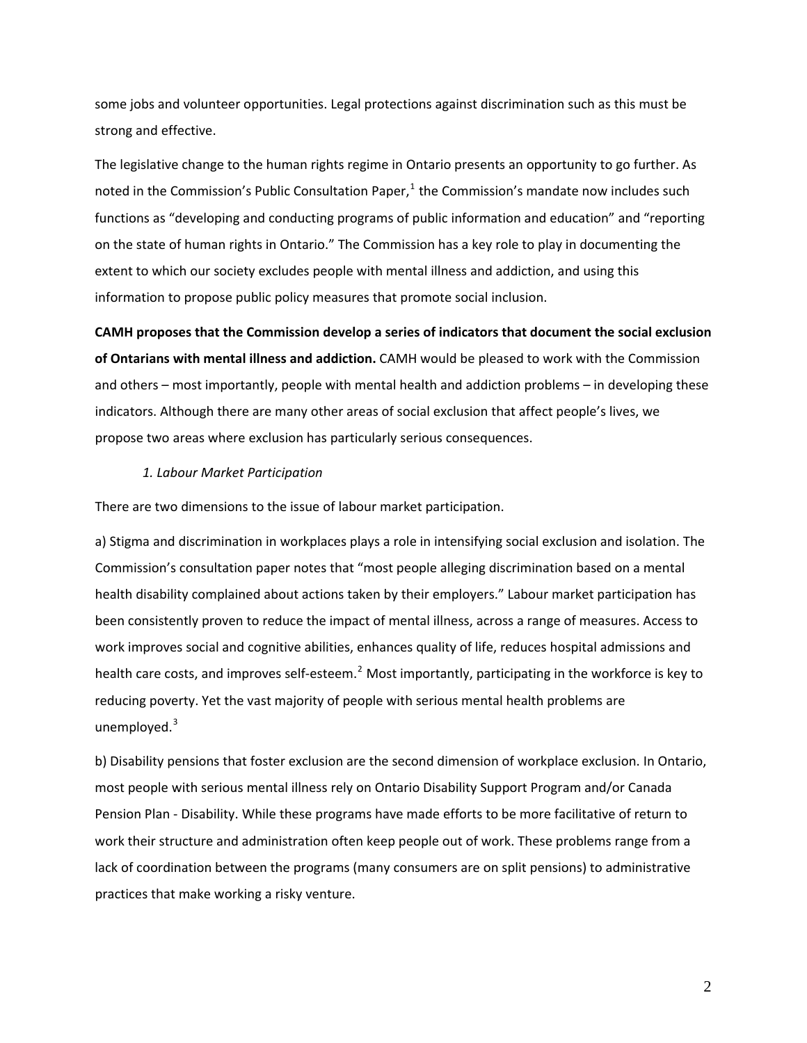some jobs and volunteer opportunities. Legal protections against discrimination such as this must be strong and effective.

The legislative change to the human rights regime in Ontario presents an opportunity to go further. As noted in the Commission's Public Consultation Paper, $<sup>1</sup>$  $<sup>1</sup>$  $<sup>1</sup>$  the Commission's mandate now includes such</sup> functions as "developing and conducting programs of public information and education" and "reporting on the state of human rights in Ontario." The Commission has a key role to play in documenting the extent to which our society excludes people with mental illness and addiction, and using this information to propose public policy measures that promote social inclusion.

**CAMH proposes that the Commission develop a series of indicators that document the social exclusion of Ontarians with mental illness and addiction.** CAMH would be pleased to work with the Commission and others – most importantly, people with mental health and addiction problems – in developing these indicators. Although there are many other areas of social exclusion that affect people's lives, we propose two areas where exclusion has particularly serious consequences.

#### *1. Labour Market Participation*

There are two dimensions to the issue of labour market participation.

a) Stigma and discrimination in workplaces plays a role in intensifying social exclusion and isolation. The Commission's consultation paper notes that "most people alleging discrimination based on a mental health disability complained about actions taken by their employers." Labour market participation has been consistently proven to reduce the impact of mental illness, across a range of measures. Access to work improves social and cognitive abilities, enhances quality of life, reduces hospital admissions and health care costs, and improves self-esteem.<sup>[2](#page-3-1)</sup> Most importantly, participating in the workforce is key to reducing poverty. Yet the vast majority of people with serious mental health problems are unemployed.<sup>3</sup>

b) Disability pensions that foster exclusion are the second dimension of workplace exclusion. In Ontario, most people with serious mental illness rely on Ontario Disability Support Program and/or Canada Pension Plan ‐ Disability. While these programs have made efforts to be more facilitative of return to work their structure and administration often keep people out of work. These problems range from a lack of coordination between the programs (many consumers are on split pensions) to administrative practices that make working a risky venture.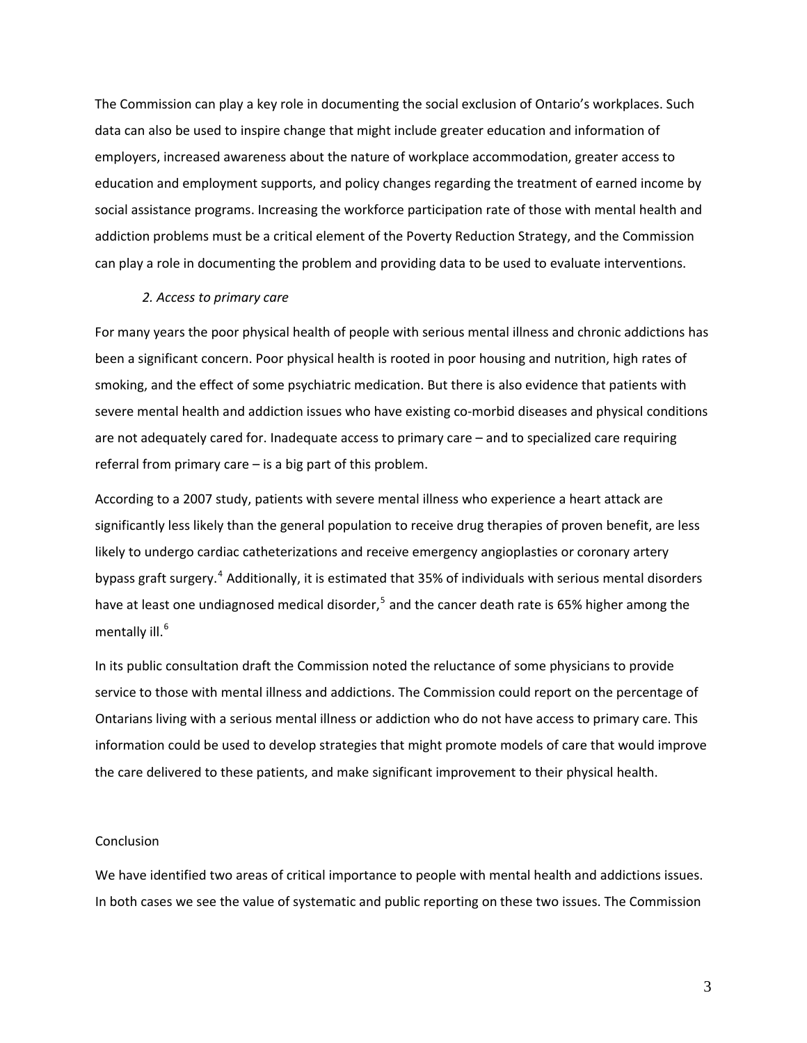The Commission can play a key role in documenting the social exclusion of Ontario's workplaces. Su ch data can also be used to inspire change that might include greater education and information of employers, increased awareness about the nature of workplace accommodation, greater access to education and employment supports, and policy changes regarding the treatment of earned income by social assistance programs. Increasing the workforce participation rate of those with mental health an d addiction problems must be a critical element of the Poverty Reduction Strategy, and the Commission can play a role in documenting the problem and providing data to be used to evaluate interventions.

## *2. Access to primary care*

severe mental health and addiction issues who have existing co-morbid diseases and physical conditions are not adequately cared for. Inadequate access to primary care – and to specialized care requiring For many years the poor physical health of people with serious mental illness and chronic addictions has been a significant concern. Poor physical health is rooted in poor housing and nutrition, high rates of smoking, and the effect of some psychiatric medication. But there is also evidence that patients with referral from primary care – is a big part of this problem.

bypass graft surgery.<sup>4</sup> Additionally, it is estimated that 35% of individuals with serious mental disorders have at least one undiagnosed medical disorder,<sup>5</sup> and the cancer death rate is 65% higher among the mentally ill.<sup>6</sup> According to a 2007 study, patients with severe mental illness who experience a heart attack are significantly less likely than the general population to receive drug therapies of proven benefit, are less likely to undergo cardiac catheterizations and receive emergency angioplasties or coronary artery

Ontarians living with a serious mental illness or addiction who do not have access to primary care. This information could be used to develop strategies that might promote models of care that would improve the care delivered to these patients, and make significant improvement to their physical health. In its public consultation draft the Commission noted the reluctance of some physicians to provide service to those with mental illness and addictions. The Commission could report on the percentage of

# Conclusion

In both cases we see the value of systematic and public reporting on these two issues. The Commission We have identified two areas of critical importance to people with mental health and addictions issues.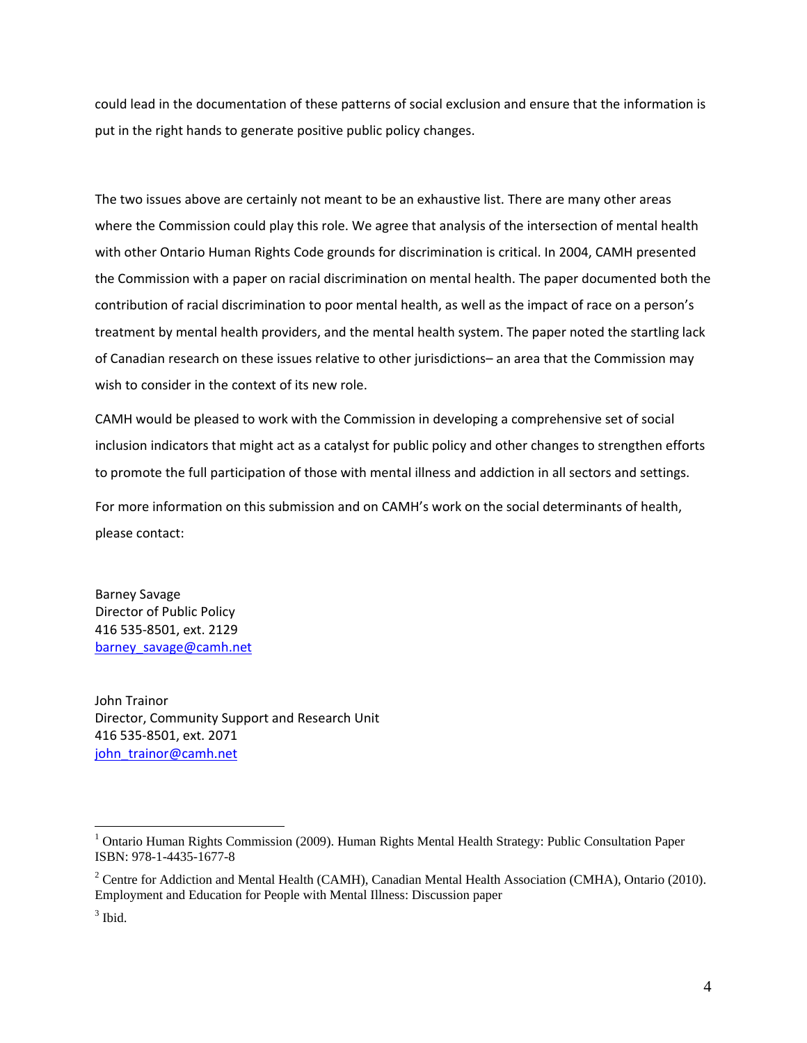<span id="page-3-1"></span>could lead in the documentation of these patterns of social exclusion and ensure that the information is put in the right hands to generate positive public policy changes.

the Commission with a paper on racial discrimination on mental health. The paper documented both the contribution of racial discrimination to poor mental health, as well as the impact of race on a person's treatment by mental health providers, and the mental health system. The paper noted the startling lack The two issues above are certainly not meant to be an exhaustive list. There are many other areas where the Commission could play this role. We agree that analysis of the intersection of mental health with other Ontario Human Rights Code grounds for discrimination is critical. In 2004, CAMH presented of Canadian research on these issues relative to other jurisdictions– an area that the Commission may wish to consider in the context of its new role.

inclusion indicators that might act as a catalyst for public policy and other changes to strengthen efforts to promote the full participation of those with mental illness and addiction in all sectors and settings. CAMH would be pleased to work with the Commission in developing a comprehensive set of social

For more information on this submission and on CAMH's work on the social determinants of health, please contact:

barney\_savage@camh.net Barney Savage Director of Public Policy 416 535‐8501, ext. 2129

<span id="page-3-0"></span>John Trainor Director, Community Support and Research Unit 416 535‐8501, ext. 2071 john\_trainor@camh.net

 $\overline{a}$ 

<sup>&</sup>lt;sup>1</sup> Ontario Human Rights Commission (2009). Human Rights Mental Health Strategy: Public Consultation Paper ISBN: 978-1-4435-1677-8

<sup>&</sup>lt;sup>2</sup> Centre for Addiction and Mental Health (CAMH), Canadian Mental Health Association (CMHA), Ontario (2010). Employment and Education for People with Mental Illness: Discussion paper

 $3$  Ibid.